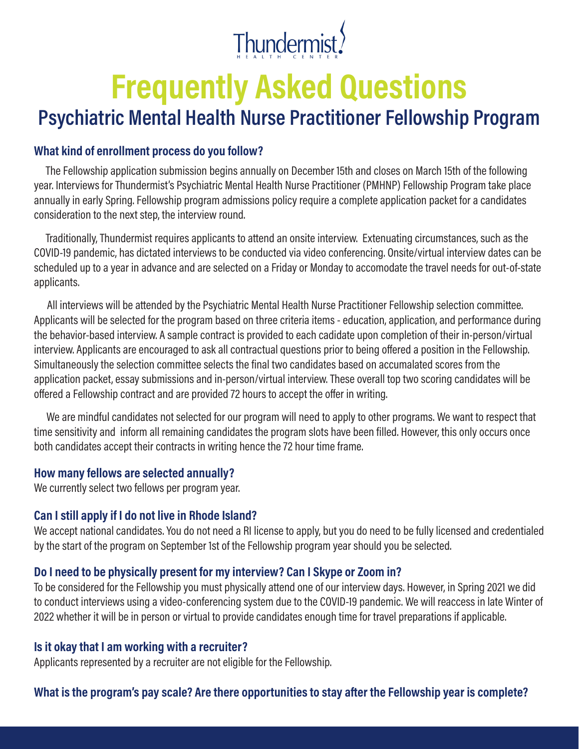

# **Frequently Asked Questions**

# **Psychiatric Mental Health Nurse Practitioner Fellowship Program**

#### **What kind of enrollment process do you follow?**

The Fellowship application submission begins annually on December 15th and closes on March 15th of the following year. Interviews for Thundermist's Psychiatric Mental Health Nurse Practitioner (PMHNP) Fellowship Program take place annually in early Spring. Fellowship program admissions policy require a complete application packet for a candidates consideration to the next step, the interview round.

Traditionally, Thundermist requires applicants to attend an onsite interview. Extenuating circumstances, such as the COVID-19 pandemic, has dictated interviews to be conducted via video conferencing. Onsite/virtual interview dates can be scheduled up to a year in advance and are selected on a Friday or Monday to accomodate the travel needs for out-of-state applicants.

All interviews will be attended by the Psychiatric Mental Health Nurse Practitioner Fellowship selection committee. Applicants will be selected for the program based on three criteria items - education, application, and performance during the behavior-based interview. A sample contract is provided to each cadidate upon completion of their in-person/virtual interview. Applicants are encouraged to ask all contractual questions prior to being offered a position in the Fellowship. Simultaneously the selection committee selects the final two candidates based on accumalated scores from the application packet, essay submissions and in-person/virtual interview. These overall top two scoring candidates will be offered a Fellowship contract and are provided 72 hours to accept the offer in writing.

We are mindful candidates not selected for our program will need to apply to other programs. We want to respect that time sensitivity and inform all remaining candidates the program slots have been filled. However, this only occurs once both candidates accept their contracts in writing hence the 72 hour time frame.

#### **How many fellows are selected annually?**

We currently select two fellows per program year.

#### **Can I still apply if I do not live in Rhode Island?**

We accept national candidates. You do not need a RI license to apply, but you do need to be fully licensed and credentialed by the start of the program on September 1st of the Fellowship program year should you be selected.

#### **Do I need to be physically present for my interview? Can I Skype or Zoom in?**

To be considered for the Fellowship you must physically attend one of our interview days. However, in Spring 2021 we did to conduct interviews using a video-conferencing system due to the COVID-19 pandemic. We will reaccess in late Winter of 2022 whether it will be in person or virtual to provide candidates enough time for travel preparations if applicable.

#### **Is it okay that I am working with a recruiter?**

Applicants represented by a recruiter are not eligible for the Fellowship.

#### **What is the program's pay scale? Are there opportunities to stay after the Fellowship year is complete?**